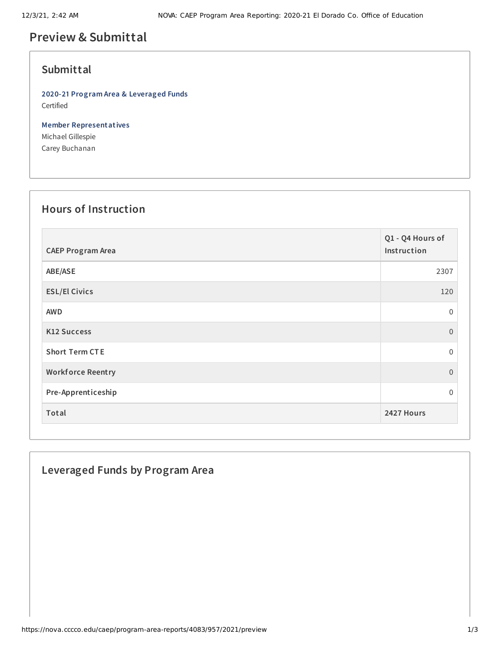# **Preview & Submittal**

### **Submittal**

**2020-21 Program Area & Leveraged Funds** Certified

**Member Representatives** Michael Gillespie Carey Buchanan

#### **Hours of Instruction**

| <b>CAEP Program Area</b> | Q1 - Q4 Hours of<br>Instruction |
|--------------------------|---------------------------------|
| ABE/ASE                  | 2307                            |
| <b>ESL/El Civics</b>     | 120                             |
| <b>AWD</b>               | $\mathbf 0$                     |
| <b>K12 Success</b>       | $\overline{0}$                  |
| <b>Short Term CTE</b>    | $\Omega$                        |
| <b>Workforce Reentry</b> | $\boldsymbol{0}$                |
| Pre-Apprenticeship       | $\Omega$                        |
| Total                    | 2427 Hours                      |

## **Leveraged Funds by Program Area**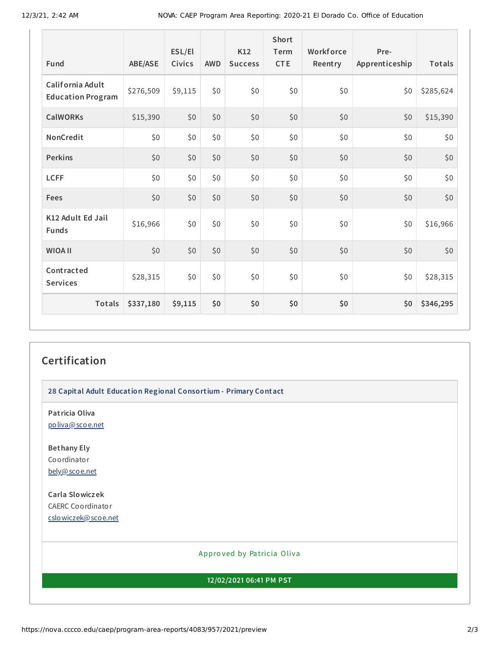| Fund                                         | <b>ABE/ASE</b> | ESL/El<br><b>Civics</b> | <b>AWD</b> | K12<br><b>Success</b> | <b>Short</b><br>Term<br><b>CTE</b> | Workforce<br>Reentry | Pre-<br>Apprenticeship | Totals    |
|----------------------------------------------|----------------|-------------------------|------------|-----------------------|------------------------------------|----------------------|------------------------|-----------|
| California Adult<br><b>Education Program</b> | \$276,509      | \$9,115                 | \$0        | \$0                   | \$0                                | \$0                  | \$0                    | \$285,624 |
| <b>CalWORKs</b>                              | \$15,390       | \$0                     | \$0        | \$0                   | \$0                                | \$0                  | \$0                    | \$15,390  |
| NonCredit                                    | \$0            | \$0                     | \$0        | \$0                   | \$0                                | \$0                  | \$0                    | \$0       |
| <b>Perkins</b>                               | \$0            | \$0                     | \$0        | \$0                   | \$0                                | \$0                  | \$0                    | \$0       |
| <b>LCFF</b>                                  | \$0            | \$0                     | \$0        | \$0                   | \$0                                | \$0                  | \$0                    | \$0       |
| <b>Fees</b>                                  | \$0            | \$0                     | \$0        | \$0                   | \$0                                | \$0                  | \$0                    | \$0       |
| K12 Adult Ed Jail<br><b>Funds</b>            | \$16,966       | \$0                     | \$0        | \$0                   | \$0                                | \$0                  | \$0                    | \$16,966  |
| <b>WIOA II</b>                               | \$0            | \$0                     | \$0        | \$0                   | \$0                                | \$0                  | \$0                    | \$0       |
| Contracted<br><b>Services</b>                | \$28,315       | \$0                     | \$0        | \$0                   | \$0                                | \$0                  | \$0                    | \$28,315  |
| Totals                                       | \$337,180      | \$9,115                 | \$0        | \$0                   | \$0                                | \$0                  | \$0                    | \$346,295 |

## **Certification**

**28 Capital Adult Education Regional Consortium - Primary Contact**

**Patricia Oliva** [poliva@scoe.net](mailto:poliva@scoe.net)

**Bethany Ely** Coordinator [bely@scoe.net](mailto:bely@scoe.net)

**Carla Slowiczek** CAERC Coordinator [cslowiczek@scoe.net](mailto:cslowiczek@scoe.net)

Appro ved by Pa tricia Oliva

**12/02/2021 06:41 PM PST**